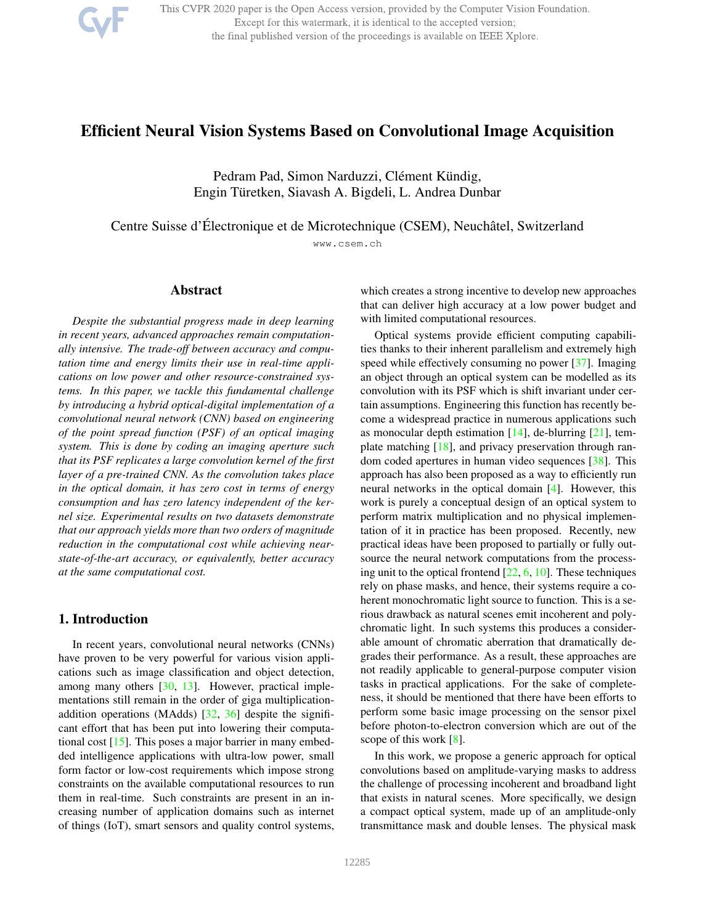

This CVPR 2020 paper is the Open Access version, provided by the Computer Vision Foundation. Except for this watermark, it is identical to the accepted version; the final published version of the proceedings is available on IEEE Xplore.

# Efficient Neural Vision Systems Based on Convolutional Image Acquisition

Pedram Pad, Simon Narduzzi, Clément Kündig, Engin Türetken, Siavash A. Bigdeli, L. Andrea Dunbar

Centre Suisse d'Électronique et de Microtechnique (CSEM), Neuchâtel, Switzerland

www.csem.ch

### Abstract

*Despite the substantial progress made in deep learning in recent years, advanced approaches remain computationally intensive. The trade-off between accuracy and computation time and energy limits their use in real-time applications on low power and other resource-constrained systems. In this paper, we tackle this fundamental challenge by introducing a hybrid optical-digital implementation of a convolutional neural network (CNN) based on engineering of the point spread function (PSF) of an optical imaging system. This is done by coding an imaging aperture such that its PSF replicates a large convolution kernel of the first layer of a pre-trained CNN. As the convolution takes place in the optical domain, it has zero cost in terms of energy consumption and has zero latency independent of the kernel size. Experimental results on two datasets demonstrate that our approach yields more than two orders of magnitude reduction in the computational cost while achieving nearstate-of-the-art accuracy, or equivalently, better accuracy at the same computational cost.*

# 1. Introduction

In recent years, convolutional neural networks (CNNs) have proven to be very powerful for various vision applications such as image classification and object detection, among many others [30, 13]. However, practical implementations still remain in the order of giga multiplicationaddition operations (MAdds) [32, 36] despite the significant effort that has been put into lowering their computational cost [15]. This poses a major barrier in many embedded intelligence applications with ultra-low power, small form factor or low-cost requirements which impose strong constraints on the available computational resources to run them in real-time. Such constraints are present in an increasing number of application domains such as internet of things (IoT), smart sensors and quality control systems,

which creates a strong incentive to develop new approaches that can deliver high accuracy at a low power budget and with limited computational resources.

Optical systems provide efficient computing capabilities thanks to their inherent parallelism and extremely high speed while effectively consuming no power [37]. Imaging an object through an optical system can be modelled as its convolution with its PSF which is shift invariant under certain assumptions. Engineering this function has recently become a widespread practice in numerous applications such as monocular depth estimation  $[14]$ , de-blurring  $[21]$ , template matching [18], and privacy preservation through random coded apertures in human video sequences [38]. This approach has also been proposed as a way to efficiently run neural networks in the optical domain [4]. However, this work is purely a conceptual design of an optical system to perform matrix multiplication and no physical implementation of it in practice has been proposed. Recently, new practical ideas have been proposed to partially or fully outsource the neural network computations from the processing unit to the optical frontend  $[22, 6, 10]$ . These techniques rely on phase masks, and hence, their systems require a coherent monochromatic light source to function. This is a serious drawback as natural scenes emit incoherent and polychromatic light. In such systems this produces a considerable amount of chromatic aberration that dramatically degrades their performance. As a result, these approaches are not readily applicable to general-purpose computer vision tasks in practical applications. For the sake of completeness, it should be mentioned that there have been efforts to perform some basic image processing on the sensor pixel before photon-to-electron conversion which are out of the scope of this work [8].

In this work, we propose a generic approach for optical convolutions based on amplitude-varying masks to address the challenge of processing incoherent and broadband light that exists in natural scenes. More specifically, we design a compact optical system, made up of an amplitude-only transmittance mask and double lenses. The physical mask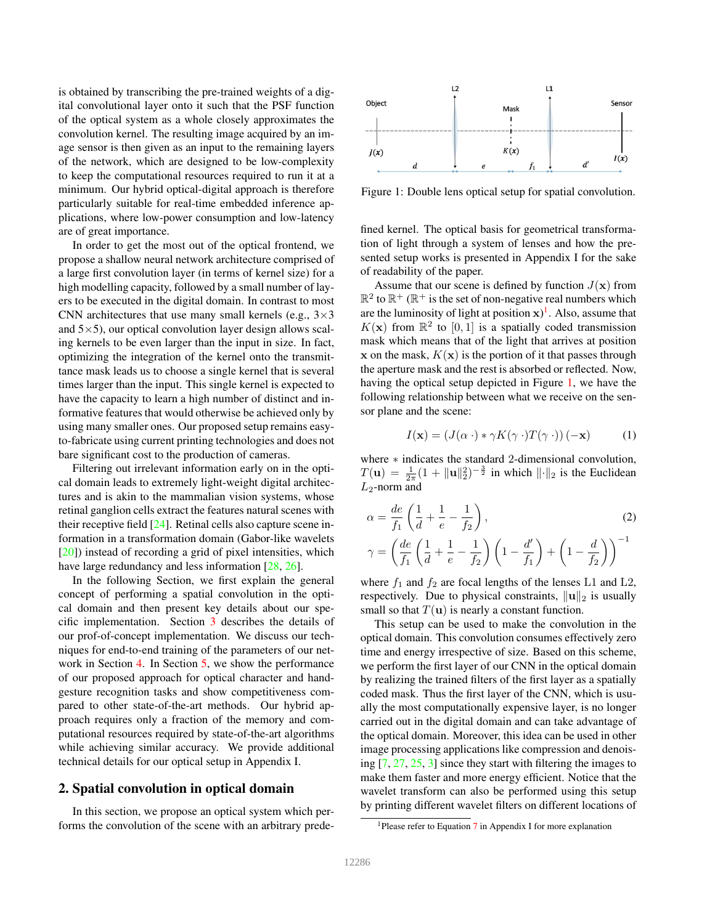is obtained by transcribing the pre-trained weights of a digital convolutional layer onto it such that the PSF function of the optical system as a whole closely approximates the convolution kernel. The resulting image acquired by an image sensor is then given as an input to the remaining layers of the network, which are designed to be low-complexity to keep the computational resources required to run it at a minimum. Our hybrid optical-digital approach is therefore particularly suitable for real-time embedded inference applications, where low-power consumption and low-latency are of great importance.

In order to get the most out of the optical frontend, we propose a shallow neural network architecture comprised of a large first convolution layer (in terms of kernel size) for a high modelling capacity, followed by a small number of layers to be executed in the digital domain. In contrast to most CNN architectures that use many small kernels (e.g.,  $3\times3$ ) and  $5\times5$ ), our optical convolution layer design allows scaling kernels to be even larger than the input in size. In fact, optimizing the integration of the kernel onto the transmittance mask leads us to choose a single kernel that is several times larger than the input. This single kernel is expected to have the capacity to learn a high number of distinct and informative features that would otherwise be achieved only by using many smaller ones. Our proposed setup remains easyto-fabricate using current printing technologies and does not bare significant cost to the production of cameras.

Filtering out irrelevant information early on in the optical domain leads to extremely light-weight digital architectures and is akin to the mammalian vision systems, whose retinal ganglion cells extract the features natural scenes with their receptive field [24]. Retinal cells also capture scene information in a transformation domain (Gabor-like wavelets [20]) instead of recording a grid of pixel intensities, which have large redundancy and less information [28, 26].

In the following Section, we first explain the general concept of performing a spatial convolution in the optical domain and then present key details about our specific implementation. Section 3 describes the details of our prof-of-concept implementation. We discuss our techniques for end-to-end training of the parameters of our network in Section 4. In Section 5, we show the performance of our proposed approach for optical character and handgesture recognition tasks and show competitiveness compared to other state-of-the-art methods. Our hybrid approach requires only a fraction of the memory and computational resources required by state-of-the-art algorithms while achieving similar accuracy. We provide additional technical details for our optical setup in Appendix I.

# 2. Spatial convolution in optical domain

In this section, we propose an optical system which performs the convolution of the scene with an arbitrary prede-



Figure 1: Double lens optical setup for spatial convolution.

fined kernel. The optical basis for geometrical transformation of light through a system of lenses and how the presented setup works is presented in Appendix I for the sake of readability of the paper.

Assume that our scene is defined by function  $J(\mathbf{x})$  from  $\mathbb{R}^2$  to  $\mathbb{R}^+$  ( $\mathbb{R}^+$  is the set of non-negative real numbers which are the luminosity of light at position  $x$ <sup>1</sup>. Also, assume that  $K(\mathbf{x})$  from  $\mathbb{R}^2$  to  $[0, 1]$  is a spatially coded transmission mask which means that of the light that arrives at position x on the mask,  $K(\mathbf{x})$  is the portion of it that passes through the aperture mask and the rest is absorbed or reflected. Now, having the optical setup depicted in Figure 1, we have the following relationship between what we receive on the sensor plane and the scene:

$$
I(\mathbf{x}) = (J(\alpha \cdot) * \gamma K(\gamma \cdot) T(\gamma \cdot))(-\mathbf{x}) \tag{1}
$$

where ∗ indicates the standard 2-dimensional convolution,  $T(\mathbf{u}) = \frac{1}{2\pi}(1 + ||\mathbf{u}||_2^2)^{-\frac{3}{2}}$  in which  $||\cdot||_2$  is the Euclidean  $L_2$ -norm and

$$
\alpha = \frac{de}{f_1} \left( \frac{1}{d} + \frac{1}{e} - \frac{1}{f_2} \right),\tag{2}
$$

$$
\gamma = \left(\frac{de}{f_1}\left(\frac{1}{d} + \frac{1}{e} - \frac{1}{f_2}\right)\left(1 - \frac{d'}{f_1}\right) + \left(1 - \frac{d}{f_2}\right)\right)^{-1}
$$

where  $f_1$  and  $f_2$  are focal lengths of the lenses L1 and L2, respectively. Due to physical constraints,  $\|\mathbf{u}\|_2$  is usually small so that  $T(\mathbf{u})$  is nearly a constant function.

This setup can be used to make the convolution in the optical domain. This convolution consumes effectively zero time and energy irrespective of size. Based on this scheme, we perform the first layer of our CNN in the optical domain by realizing the trained filters of the first layer as a spatially coded mask. Thus the first layer of the CNN, which is usually the most computationally expensive layer, is no longer carried out in the digital domain and can take advantage of the optical domain. Moreover, this idea can be used in other image processing applications like compression and denoising [7, 27, 25, 3] since they start with filtering the images to make them faster and more energy efficient. Notice that the wavelet transform can also be performed using this setup by printing different wavelet filters on different locations of

<sup>&</sup>lt;sup>1</sup>Please refer to Equation  $7$  in Appendix I for more explanation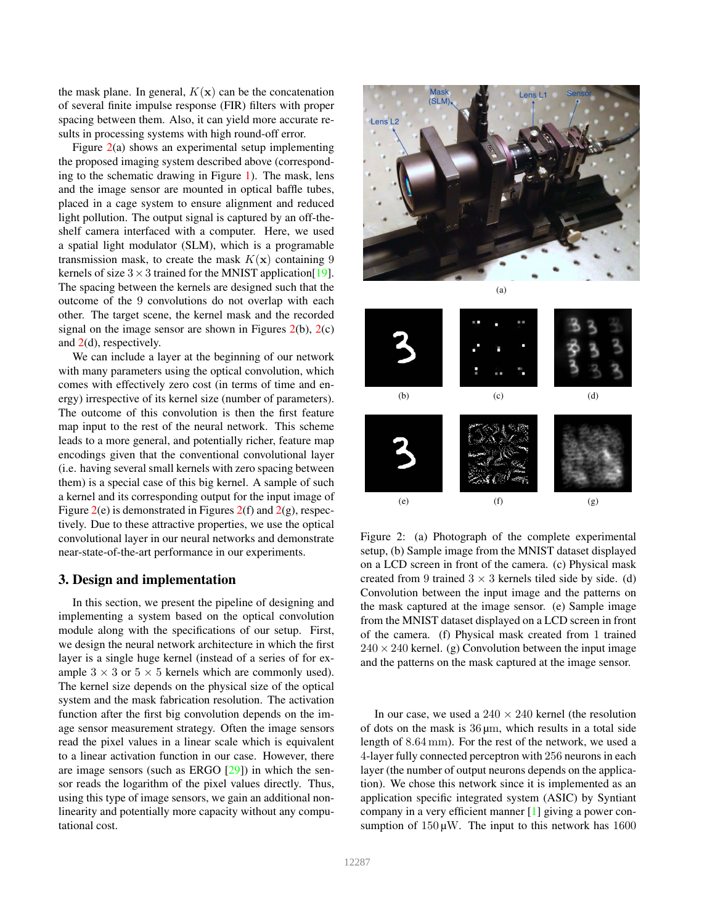the mask plane. In general,  $K(\mathbf{x})$  can be the concatenation of several finite impulse response (FIR) filters with proper spacing between them. Also, it can yield more accurate results in processing systems with high round-off error.

Figure 2(a) shows an experimental setup implementing the proposed imaging system described above (corresponding to the schematic drawing in Figure 1). The mask, lens and the image sensor are mounted in optical baffle tubes, placed in a cage system to ensure alignment and reduced light pollution. The output signal is captured by an off-theshelf camera interfaced with a computer. Here, we used a spatial light modulator (SLM), which is a programable transmission mask, to create the mask  $K(\mathbf{x})$  containing 9 kernels of size  $3 \times 3$  trained for the MNIST application [19]. The spacing between the kernels are designed such that the outcome of the 9 convolutions do not overlap with each other. The target scene, the kernel mask and the recorded signal on the image sensor are shown in Figures  $2(b)$ ,  $2(c)$ and 2(d), respectively.

We can include a layer at the beginning of our network with many parameters using the optical convolution, which comes with effectively zero cost (in terms of time and energy) irrespective of its kernel size (number of parameters). The outcome of this convolution is then the first feature map input to the rest of the neural network. This scheme leads to a more general, and potentially richer, feature map encodings given that the conventional convolutional layer (i.e. having several small kernels with zero spacing between them) is a special case of this big kernel. A sample of such a kernel and its corresponding output for the input image of Figure  $2(e)$  is demonstrated in Figures  $2(f)$  and  $2(g)$ , respectively. Due to these attractive properties, we use the optical convolutional layer in our neural networks and demonstrate near-state-of-the-art performance in our experiments.

# 3. Design and implementation

In this section, we present the pipeline of designing and implementing a system based on the optical convolution module along with the specifications of our setup. First, we design the neural network architecture in which the first layer is a single huge kernel (instead of a series of for example  $3 \times 3$  or  $5 \times 5$  kernels which are commonly used). The kernel size depends on the physical size of the optical system and the mask fabrication resolution. The activation function after the first big convolution depends on the image sensor measurement strategy. Often the image sensors read the pixel values in a linear scale which is equivalent to a linear activation function in our case. However, there are image sensors (such as ERGO [29]) in which the sensor reads the logarithm of the pixel values directly. Thus, using this type of image sensors, we gain an additional nonlinearity and potentially more capacity without any computational cost.



Figure 2: (a) Photograph of the complete experimental setup, (b) Sample image from the MNIST dataset displayed on a LCD screen in front of the camera. (c) Physical mask created from 9 trained  $3 \times 3$  kernels tiled side by side. (d) Convolution between the input image and the patterns on the mask captured at the image sensor. (e) Sample image from the MNIST dataset displayed on a LCD screen in front of the camera. (f) Physical mask created from 1 trained  $240 \times 240$  kernel. (g) Convolution between the input image and the patterns on the mask captured at the image sensor.

(e)  $(f)$  (g)

In our case, we used a  $240 \times 240$  kernel (the resolution of dots on the mask is  $36 \text{ µm}$ , which results in a total side length of 8.64 mm). For the rest of the network, we used a 4-layer fully connected perceptron with 256 neurons in each layer (the number of output neurons depends on the application). We chose this network since it is implemented as an application specific integrated system (ASIC) by Syntiant company in a very efficient manner [1] giving a power consumption of  $150 \mu W$ . The input to this network has  $1600$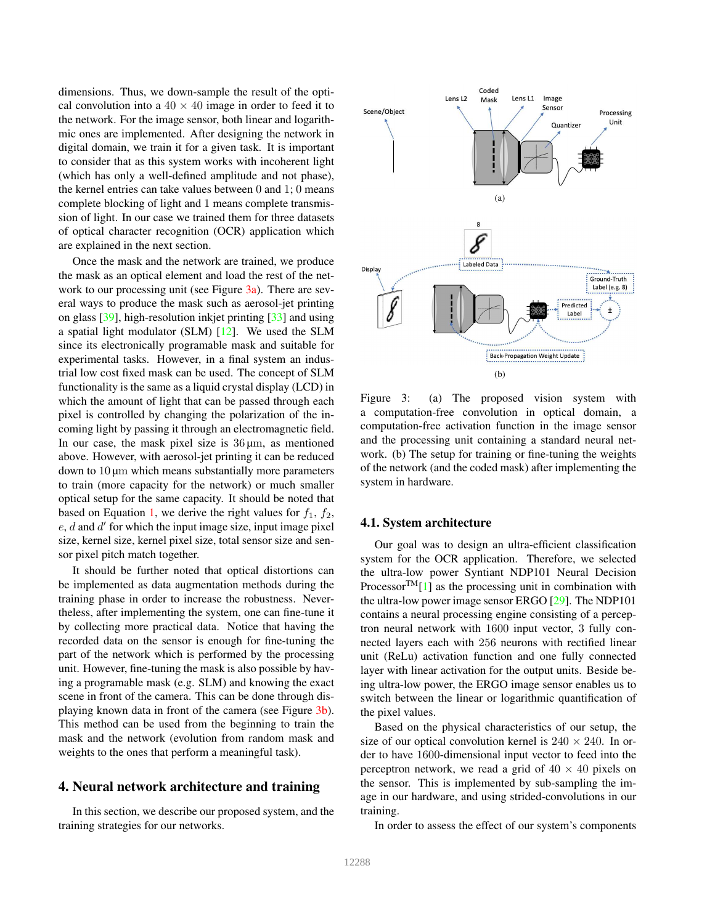dimensions. Thus, we down-sample the result of the optical convolution into a  $40 \times 40$  image in order to feed it to the network. For the image sensor, both linear and logarithmic ones are implemented. After designing the network in digital domain, we train it for a given task. It is important to consider that as this system works with incoherent light (which has only a well-defined amplitude and not phase), the kernel entries can take values between 0 and 1; 0 means complete blocking of light and 1 means complete transmission of light. In our case we trained them for three datasets of optical character recognition (OCR) application which are explained in the next section.

Once the mask and the network are trained, we produce the mask as an optical element and load the rest of the network to our processing unit (see Figure 3a). There are several ways to produce the mask such as aerosol-jet printing on glass [39], high-resolution inkjet printing [33] and using a spatial light modulator (SLM) [12]. We used the SLM since its electronically programable mask and suitable for experimental tasks. However, in a final system an industrial low cost fixed mask can be used. The concept of SLM functionality is the same as a liquid crystal display (LCD) in which the amount of light that can be passed through each pixel is controlled by changing the polarization of the incoming light by passing it through an electromagnetic field. In our case, the mask pixel size is  $36 \mu m$ , as mentioned above. However, with aerosol-jet printing it can be reduced down to  $10 \mu m$  which means substantially more parameters to train (more capacity for the network) or much smaller optical setup for the same capacity. It should be noted that based on Equation 1, we derive the right values for  $f_1$ ,  $f_2$ ,  $e, d$  and  $d'$  for which the input image size, input image pixel size, kernel size, kernel pixel size, total sensor size and sensor pixel pitch match together.

It should be further noted that optical distortions can be implemented as data augmentation methods during the training phase in order to increase the robustness. Nevertheless, after implementing the system, one can fine-tune it by collecting more practical data. Notice that having the recorded data on the sensor is enough for fine-tuning the part of the network which is performed by the processing unit. However, fine-tuning the mask is also possible by having a programable mask (e.g. SLM) and knowing the exact scene in front of the camera. This can be done through displaying known data in front of the camera (see Figure 3b). This method can be used from the beginning to train the mask and the network (evolution from random mask and weights to the ones that perform a meaningful task).

### 4. Neural network architecture and training

In this section, we describe our proposed system, and the training strategies for our networks.



Figure 3: (a) The proposed vision system with a computation-free convolution in optical domain, a computation-free activation function in the image sensor and the processing unit containing a standard neural network. (b) The setup for training or fine-tuning the weights of the network (and the coded mask) after implementing the system in hardware.

#### 4.1. System architecture

Our goal was to design an ultra-efficient classification system for the OCR application. Therefore, we selected the ultra-low power Syntiant NDP101 Neural Decision Processor<sup>TM</sup>[1] as the processing unit in combination with the ultra-low power image sensor ERGO [29]. The NDP101 contains a neural processing engine consisting of a perceptron neural network with 1600 input vector, 3 fully connected layers each with 256 neurons with rectified linear unit (ReLu) activation function and one fully connected layer with linear activation for the output units. Beside being ultra-low power, the ERGO image sensor enables us to switch between the linear or logarithmic quantification of the pixel values.

Based on the physical characteristics of our setup, the size of our optical convolution kernel is  $240 \times 240$ . In order to have 1600-dimensional input vector to feed into the perceptron network, we read a grid of  $40 \times 40$  pixels on the sensor. This is implemented by sub-sampling the image in our hardware, and using strided-convolutions in our training.

In order to assess the effect of our system's components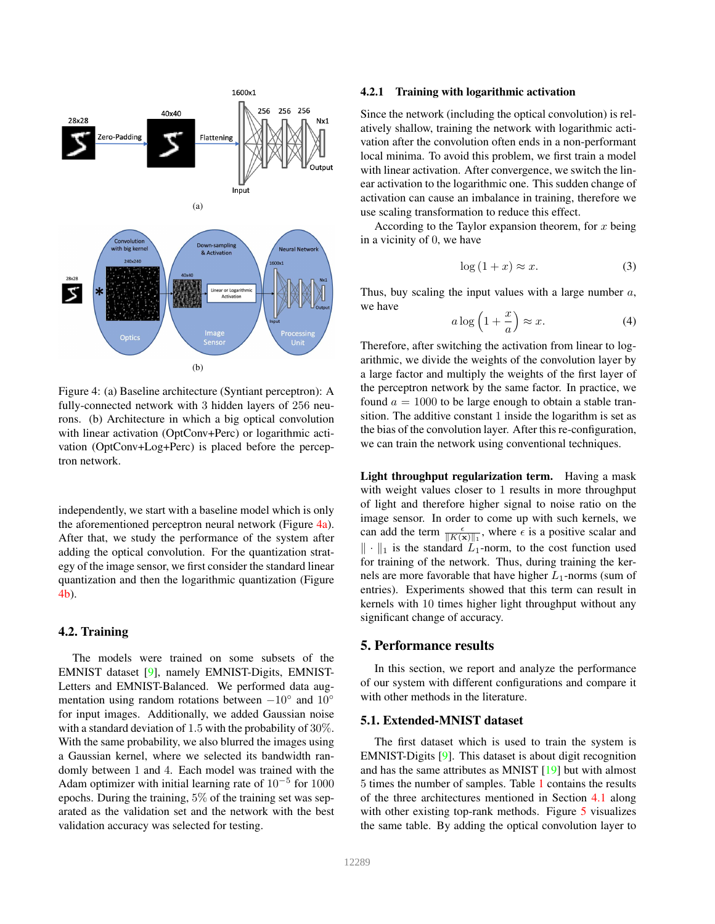

Figure 4: (a) Baseline architecture (Syntiant perceptron): A fully-connected network with 3 hidden layers of 256 neurons. (b) Architecture in which a big optical convolution with linear activation (OptConv+Perc) or logarithmic activation (OptConv+Log+Perc) is placed before the perceptron network.

independently, we start with a baseline model which is only the aforementioned perceptron neural network (Figure 4a). After that, we study the performance of the system after adding the optical convolution. For the quantization strategy of the image sensor, we first consider the standard linear quantization and then the logarithmic quantization (Figure 4b).

### 4.2. Training

The models were trained on some subsets of the EMNIST dataset [9], namely EMNIST-Digits, EMNIST-Letters and EMNIST-Balanced. We performed data augmentation using random rotations between  $-10°$  and  $10°$ for input images. Additionally, we added Gaussian noise with a standard deviation of 1.5 with the probability of 30%. With the same probability, we also blurred the images using a Gaussian kernel, where we selected its bandwidth randomly between 1 and 4. Each model was trained with the Adam optimizer with initial learning rate of  $10^{-5}$  for  $1000$ epochs. During the training,  $5\%$  of the training set was separated as the validation set and the network with the best validation accuracy was selected for testing.

#### 4.2.1 Training with logarithmic activation

Since the network (including the optical convolution) is relatively shallow, training the network with logarithmic activation after the convolution often ends in a non-performant local minima. To avoid this problem, we first train a model with linear activation. After convergence, we switch the linear activation to the logarithmic one. This sudden change of activation can cause an imbalance in training, therefore we use scaling transformation to reduce this effect.

According to the Taylor expansion theorem, for  $x$  being in a vicinity of 0, we have

$$
\log(1+x) \approx x. \tag{3}
$$

Thus, buy scaling the input values with a large number  $a$ , we have

$$
a \log \left( 1 + \frac{x}{a} \right) \approx x. \tag{4}
$$

Therefore, after switching the activation from linear to logarithmic, we divide the weights of the convolution layer by a large factor and multiply the weights of the first layer of the perceptron network by the same factor. In practice, we found  $a = 1000$  to be large enough to obtain a stable transition. The additive constant 1 inside the logarithm is set as the bias of the convolution layer. After this re-configuration, we can train the network using conventional techniques.

Light throughput regularization term. Having a mask with weight values closer to 1 results in more throughput of light and therefore higher signal to noise ratio on the image sensor. In order to come up with such kernels, we can add the term  $\frac{\epsilon}{\|K(\mathbf{x})\|_1}$ , where  $\epsilon$  is a positive scalar and  $\|\cdot\|_1$  is the standard  $L_1$ -norm, to the cost function used for training of the network. Thus, during training the kernels are more favorable that have higher  $L_1$ -norms (sum of entries). Experiments showed that this term can result in kernels with 10 times higher light throughput without any significant change of accuracy.

### 5. Performance results

In this section, we report and analyze the performance of our system with different configurations and compare it with other methods in the literature.

#### 5.1. Extended-MNIST dataset

The first dataset which is used to train the system is EMNIST-Digits [9]. This dataset is about digit recognition and has the same attributes as MNIST [19] but with almost 5 times the number of samples. Table 1 contains the results of the three architectures mentioned in Section 4.1 along with other existing top-rank methods. Figure 5 visualizes the same table. By adding the optical convolution layer to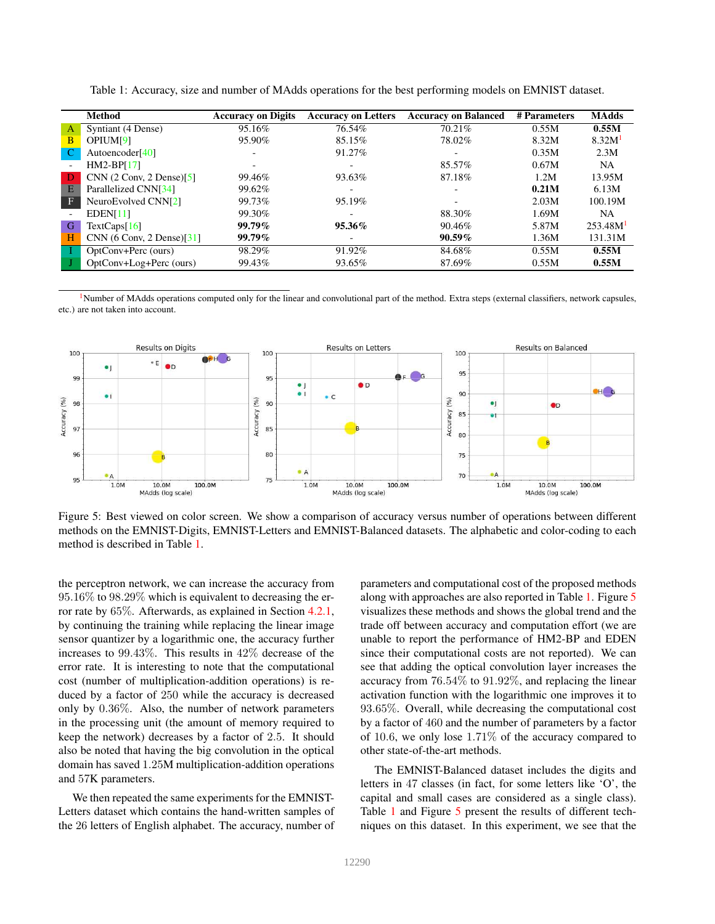|                          | Method                     | <b>Accuracy on Digits</b> | <b>Accuracy on Letters</b> | <b>Accuracy on Balanced</b> | # Parameters | <b>MAdds</b>         |
|--------------------------|----------------------------|---------------------------|----------------------------|-----------------------------|--------------|----------------------|
| A                        | Syntiant (4 Dense)         | 95.16%                    | 76.54%                     | $70.21\%$                   | 0.55M        | 0.55M                |
| <sub>B</sub>             | <b>OPIUM<sub>[9]</sub></b> | 95.90%                    | 85.15%                     | 78.02%                      | 8.32M        | 8.32M <sup>1</sup>   |
| $\mathcal{C}$            | Autoencoder[ $40$ ]        |                           | 91.27%                     |                             | 0.35M        | 2.3M                 |
| $\overline{\phantom{a}}$ | $HM2-BPI171$               |                           |                            | 85.57%                      | 0.67M        | <b>NA</b>            |
| D                        | CNN (2 Conv, 2 Dense)[5]   | 99.46%                    | 93.63%                     | 87.18%                      | 1.2M         | 13.95M               |
| E                        | Parallelized CNN[34]       | 99.62%                    |                            |                             | 0.21M        | 6.13M                |
| $\mathbf{F}$             | NeuroEvolved CNN[2]        | 99.73%                    | 95.19%                     |                             | 2.03M        | 100.19M              |
| $\sim$                   | EDEN[11]                   | 99.30%                    |                            | 88.30%                      | 1.69M        | <b>NA</b>            |
| G                        | TextCaps[16]               | $99.79\%$                 | $95.36\%$                  | $90.46\%$                   | 5.87M        | 253.48M <sup>1</sup> |
| H                        | CNN (6 Conv, 2 Dense)[31]  | $99.79\%$                 |                            | $90.59\%$                   | 1.36M        | 131.31M              |
|                          | OptConv+Perc (ours)        | 98.29%                    | 91.92%                     | 84.68%                      | 0.55M        | 0.55M                |
|                          | OptConv+Log+Perc (ours)    | 99.43%                    | 93.65%                     | 87.69%                      | 0.55M        | 0.55M                |

Table 1: Accuracy, size and number of MAdds operations for the best performing models on EMNIST dataset.

<sup>1</sup>Number of MAdds operations computed only for the linear and convolutional part of the method. Extra steps (external classifiers, network capsules, etc.) are not taken into account.



Figure 5: Best viewed on color screen. We show a comparison of accuracy versus number of operations between different methods on the EMNIST-Digits, EMNIST-Letters and EMNIST-Balanced datasets. The alphabetic and color-coding to each method is described in Table 1.

the perceptron network, we can increase the accuracy from 95.16% to 98.29% which is equivalent to decreasing the error rate by 65%. Afterwards, as explained in Section 4.2.1, by continuing the training while replacing the linear image sensor quantizer by a logarithmic one, the accuracy further increases to 99.43%. This results in 42% decrease of the error rate. It is interesting to note that the computational cost (number of multiplication-addition operations) is reduced by a factor of 250 while the accuracy is decreased only by 0.36%. Also, the number of network parameters in the processing unit (the amount of memory required to keep the network) decreases by a factor of 2.5. It should also be noted that having the big convolution in the optical domain has saved 1.25M multiplication-addition operations and 57K parameters.

We then repeated the same experiments for the EMNIST-Letters dataset which contains the hand-written samples of the 26 letters of English alphabet. The accuracy, number of parameters and computational cost of the proposed methods along with approaches are also reported in Table 1. Figure 5 visualizes these methods and shows the global trend and the trade off between accuracy and computation effort (we are unable to report the performance of HM2-BP and EDEN since their computational costs are not reported). We can see that adding the optical convolution layer increases the accuracy from 76.54% to 91.92%, and replacing the linear activation function with the logarithmic one improves it to 93.65%. Overall, while decreasing the computational cost by a factor of 460 and the number of parameters by a factor of 10.6, we only lose 1.71% of the accuracy compared to other state-of-the-art methods.

The EMNIST-Balanced dataset includes the digits and letters in 47 classes (in fact, for some letters like 'O', the capital and small cases are considered as a single class). Table 1 and Figure 5 present the results of different techniques on this dataset. In this experiment, we see that the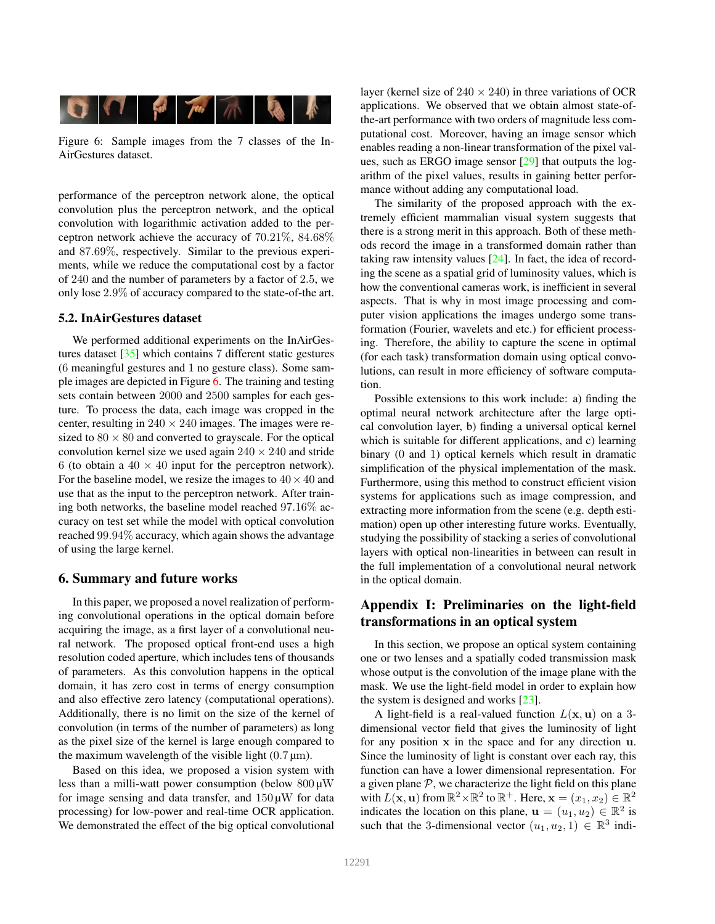

Figure 6: Sample images from the 7 classes of the In-AirGestures dataset.

performance of the perceptron network alone, the optical convolution plus the perceptron network, and the optical convolution with logarithmic activation added to the perceptron network achieve the accuracy of 70.21%, 84.68% and 87.69%, respectively. Similar to the previous experiments, while we reduce the computational cost by a factor of 240 and the number of parameters by a factor of 2.5, we only lose 2.9% of accuracy compared to the state-of-the art.

### 5.2. InAirGestures dataset

We performed additional experiments on the InAirGestures dataset [35] which contains 7 different static gestures (6 meaningful gestures and 1 no gesture class). Some sample images are depicted in Figure 6. The training and testing sets contain between 2000 and 2500 samples for each gesture. To process the data, each image was cropped in the center, resulting in  $240 \times 240$  images. The images were resized to  $80 \times 80$  and converted to grayscale. For the optical convolution kernel size we used again  $240 \times 240$  and stride 6 (to obtain a  $40 \times 40$  input for the perceptron network). For the baseline model, we resize the images to  $40 \times 40$  and use that as the input to the perceptron network. After training both networks, the baseline model reached 97.16% accuracy on test set while the model with optical convolution reached 99.94% accuracy, which again shows the advantage of using the large kernel.

### 6. Summary and future works

In this paper, we proposed a novel realization of performing convolutional operations in the optical domain before acquiring the image, as a first layer of a convolutional neural network. The proposed optical front-end uses a high resolution coded aperture, which includes tens of thousands of parameters. As this convolution happens in the optical domain, it has zero cost in terms of energy consumption and also effective zero latency (computational operations). Additionally, there is no limit on the size of the kernel of convolution (in terms of the number of parameters) as long as the pixel size of the kernel is large enough compared to the maximum wavelength of the visible light  $(0.7 \,\text{\mu m})$ .

Based on this idea, we proposed a vision system with less than a milli-watt power consumption (below 800 µW for image sensing and data transfer, and  $150 \mu W$  for data processing) for low-power and real-time OCR application. We demonstrated the effect of the big optical convolutional layer (kernel size of  $240 \times 240$ ) in three variations of OCR applications. We observed that we obtain almost state-ofthe-art performance with two orders of magnitude less computational cost. Moreover, having an image sensor which enables reading a non-linear transformation of the pixel values, such as ERGO image sensor [29] that outputs the logarithm of the pixel values, results in gaining better performance without adding any computational load.

The similarity of the proposed approach with the extremely efficient mammalian visual system suggests that there is a strong merit in this approach. Both of these methods record the image in a transformed domain rather than taking raw intensity values  $[24]$ . In fact, the idea of recording the scene as a spatial grid of luminosity values, which is how the conventional cameras work, is inefficient in several aspects. That is why in most image processing and computer vision applications the images undergo some transformation (Fourier, wavelets and etc.) for efficient processing. Therefore, the ability to capture the scene in optimal (for each task) transformation domain using optical convolutions, can result in more efficiency of software computation.

Possible extensions to this work include: a) finding the optimal neural network architecture after the large optical convolution layer, b) finding a universal optical kernel which is suitable for different applications, and c) learning binary (0 and 1) optical kernels which result in dramatic simplification of the physical implementation of the mask. Furthermore, using this method to construct efficient vision systems for applications such as image compression, and extracting more information from the scene (e.g. depth estimation) open up other interesting future works. Eventually, studying the possibility of stacking a series of convolutional layers with optical non-linearities in between can result in the full implementation of a convolutional neural network in the optical domain.

# Appendix I: Preliminaries on the light-field transformations in an optical system

In this section, we propose an optical system containing one or two lenses and a spatially coded transmission mask whose output is the convolution of the image plane with the mask. We use the light-field model in order to explain how the system is designed and works  $[23]$ .

A light-field is a real-valued function  $L(\mathbf{x}, \mathbf{u})$  on a 3dimensional vector field that gives the luminosity of light for any position x in the space and for any direction u. Since the luminosity of light is constant over each ray, this function can have a lower dimensional representation. For a given plane  $P$ , we characterize the light field on this plane with  $L(\mathbf{x}, \mathbf{u})$  from  $\mathbb{R}^2 \times \mathbb{R}^2$  to  $\mathbb{R}^+$ . Here,  $\mathbf{x} = (x_1, x_2) \in \mathbb{R}^2$ indicates the location on this plane,  $\mathbf{u} = (u_1, u_2) \in \mathbb{R}^2$  is such that the 3-dimensional vector  $(u_1, u_2, 1) \in \mathbb{R}^3$  indi-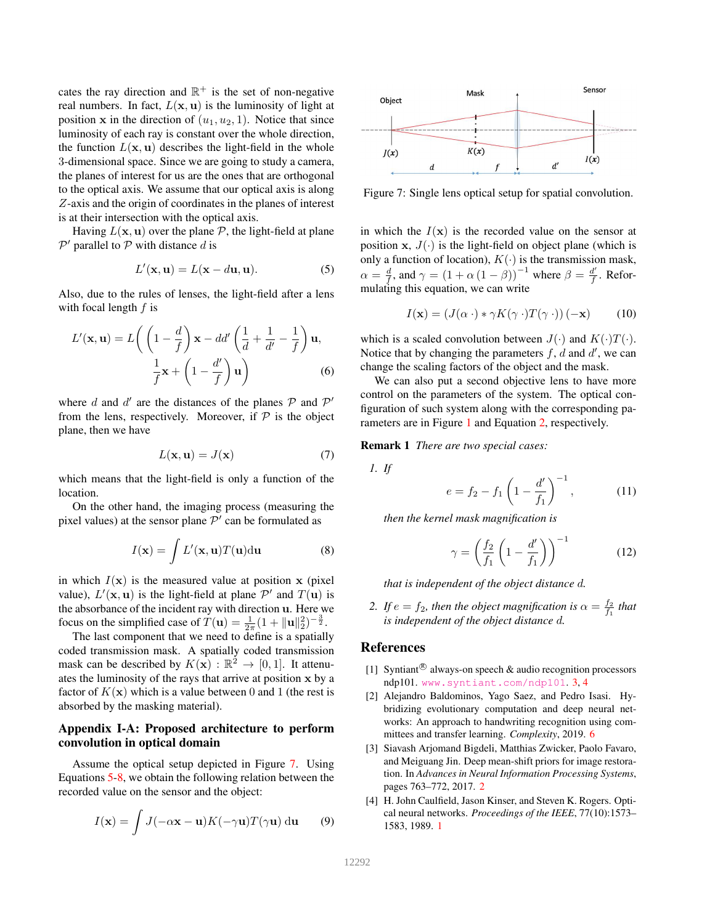cates the ray direction and  $\mathbb{R}^+$  is the set of non-negative real numbers. In fact,  $L(\mathbf{x}, \mathbf{u})$  is the luminosity of light at position x in the direction of  $(u_1, u_2, 1)$ . Notice that since luminosity of each ray is constant over the whole direction, the function  $L(\mathbf{x}, \mathbf{u})$  describes the light-field in the whole 3-dimensional space. Since we are going to study a camera, the planes of interest for us are the ones that are orthogonal to the optical axis. We assume that our optical axis is along Z-axis and the origin of coordinates in the planes of interest is at their intersection with the optical axis.

Having  $L(\mathbf{x}, \mathbf{u})$  over the plane  $P$ , the light-field at plane  $P'$  parallel to P with distance d is

$$
L'(\mathbf{x}, \mathbf{u}) = L(\mathbf{x} - d\mathbf{u}, \mathbf{u}).
$$
 (5)

Also, due to the rules of lenses, the light-field after a lens with focal length  $f$  is

$$
L'(\mathbf{x}, \mathbf{u}) = L\left(\left(1 - \frac{d}{f}\right)\mathbf{x} - dd'\left(\frac{1}{d} + \frac{1}{d'} - \frac{1}{f}\right)\mathbf{u},\right)
$$

$$
\frac{1}{f}\mathbf{x} + \left(1 - \frac{d'}{f}\right)\mathbf{u}\right) \tag{6}
$$

where d and d' are the distances of the planes  $P$  and  $P'$ from the lens, respectively. Moreover, if  $P$  is the object plane, then we have

$$
L(\mathbf{x}, \mathbf{u}) = J(\mathbf{x})\tag{7}
$$

which means that the light-field is only a function of the location.

On the other hand, the imaging process (measuring the pixel values) at the sensor plane  $\mathcal{P}'$  can be formulated as

$$
I(\mathbf{x}) = \int L'(\mathbf{x}, \mathbf{u}) T(\mathbf{u}) \mathrm{d}\mathbf{u}
$$
 (8)

in which  $I(x)$  is the measured value at position x (pixel) value),  $L'(\mathbf{x}, \mathbf{u})$  is the light-field at plane  $\mathcal{P}'$  and  $T(\mathbf{u})$  is the absorbance of the incident ray with direction u. Here we focus on the simplified case of  $T(\mathbf{u}) = \frac{1}{2\pi}(1 + ||\mathbf{u}||_2^2)^{-\frac{3}{2}}$ .

The last component that we need to define is a spatially coded transmission mask. A spatially coded transmission mask can be described by  $K(\mathbf{x}) : \mathbb{R}^2 \to [0,1]$ . It attenuates the luminosity of the rays that arrive at position x by a factor of  $K(\mathbf{x})$  which is a value between 0 and 1 (the rest is absorbed by the masking material).

## Appendix I-A: Proposed architecture to perform convolution in optical domain

Assume the optical setup depicted in Figure 7. Using Equations 5-8, we obtain the following relation between the recorded value on the sensor and the object:

$$
I(\mathbf{x}) = \int J(-\alpha \mathbf{x} - \mathbf{u}) K(-\gamma \mathbf{u}) T(\gamma \mathbf{u}) \, \mathrm{d}\mathbf{u} \qquad (9)
$$



Figure 7: Single lens optical setup for spatial convolution.

in which the  $I(x)$  is the recorded value on the sensor at position x,  $J(\cdot)$  is the light-field on object plane (which is only a function of location),  $K(\cdot)$  is the transmission mask,  $\alpha = \frac{d}{f}$ , and  $\gamma = (1 + \alpha (1 - \beta))^{-1}$  where  $\beta = \frac{d'}{f}$  $\frac{d}{f}$ . Reformulating this equation, we can write

$$
I(\mathbf{x}) = (J(\alpha \cdot) * \gamma K(\gamma \cdot) T(\gamma \cdot))(-\mathbf{x}) \tag{10}
$$

which is a scaled convolution between  $J(\cdot)$  and  $K(\cdot)T(\cdot)$ . Notice that by changing the parameters  $f$ ,  $d$  and  $d'$ , we can change the scaling factors of the object and the mask.

We can also put a second objective lens to have more control on the parameters of the system. The optical configuration of such system along with the corresponding parameters are in Figure 1 and Equation 2, respectively.

Remark 1 *There are two special cases:*

$$
1. \, \text{If}
$$

$$
e = f_2 - f_1 \left( 1 - \frac{d'}{f_1} \right)^{-1}, \tag{11}
$$

*then the kernel mask magnification is*

$$
\gamma = \left(\frac{f_2}{f_1} \left(1 - \frac{d'}{f_1}\right)\right)^{-1} \tag{12}
$$

*that is independent of the object distance* d*.*

2. If  $e = f_2$ , then the object magnification is  $\alpha = \frac{f_2}{f_1}$  that *is independent of the object distance* d*.*

# References

- [1] Syntiant<sup>®</sup> always-on speech & audio recognition processors ndp101. www.syntiant.com/ndp101. 3, 4
- [2] Alejandro Baldominos, Yago Saez, and Pedro Isasi. Hybridizing evolutionary computation and deep neural networks: An approach to handwriting recognition using committees and transfer learning. *Complexity*, 2019. 6
- [3] Siavash Arjomand Bigdeli, Matthias Zwicker, Paolo Favaro, and Meiguang Jin. Deep mean-shift priors for image restoration. In *Advances in Neural Information Processing Systems*, pages 763–772, 2017. 2
- [4] H. John Caulfield, Jason Kinser, and Steven K. Rogers. Optical neural networks. *Proceedings of the IEEE*, 77(10):1573– 1583, 1989. 1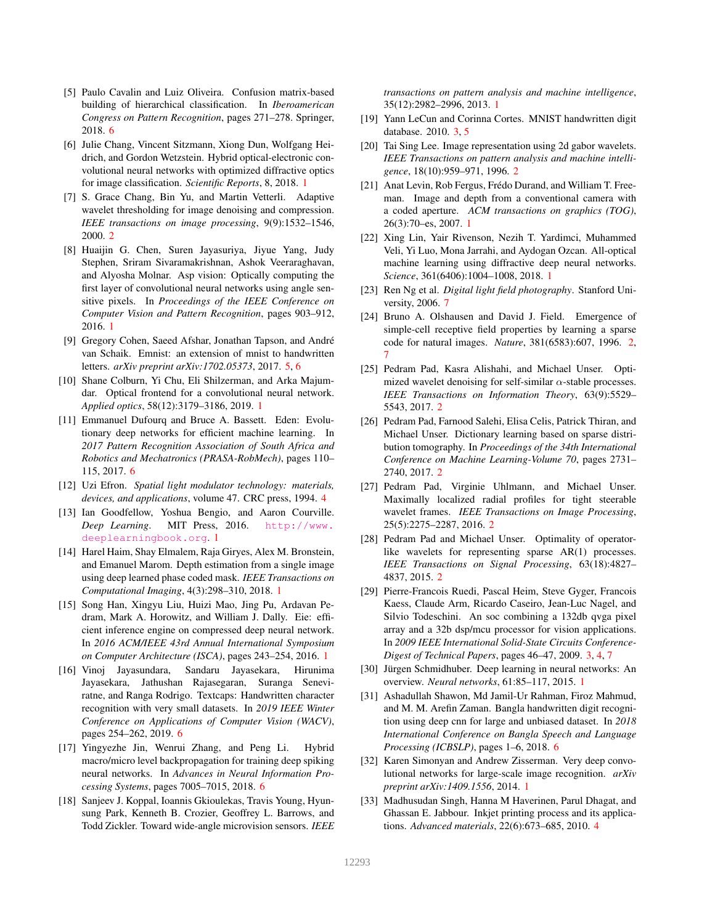- [5] Paulo Cavalin and Luiz Oliveira. Confusion matrix-based building of hierarchical classification. In *Iberoamerican Congress on Pattern Recognition*, pages 271–278. Springer, 2018. 6
- [6] Julie Chang, Vincent Sitzmann, Xiong Dun, Wolfgang Heidrich, and Gordon Wetzstein. Hybrid optical-electronic convolutional neural networks with optimized diffractive optics for image classification. *Scientific Reports*, 8, 2018. 1
- [7] S. Grace Chang, Bin Yu, and Martin Vetterli. Adaptive wavelet thresholding for image denoising and compression. *IEEE transactions on image processing*, 9(9):1532–1546, 2000. 2
- [8] Huaijin G. Chen, Suren Jayasuriya, Jiyue Yang, Judy Stephen, Sriram Sivaramakrishnan, Ashok Veeraraghavan, and Alyosha Molnar. Asp vision: Optically computing the first layer of convolutional neural networks using angle sensitive pixels. In *Proceedings of the IEEE Conference on Computer Vision and Pattern Recognition*, pages 903–912, 2016. 1
- [9] Gregory Cohen, Saeed Afshar, Jonathan Tapson, and André van Schaik. Emnist: an extension of mnist to handwritten letters. *arXiv preprint arXiv:1702.05373*, 2017. 5, 6
- [10] Shane Colburn, Yi Chu, Eli Shilzerman, and Arka Majumdar. Optical frontend for a convolutional neural network. *Applied optics*, 58(12):3179–3186, 2019. 1
- [11] Emmanuel Dufourq and Bruce A. Bassett. Eden: Evolutionary deep networks for efficient machine learning. In *2017 Pattern Recognition Association of South Africa and Robotics and Mechatronics (PRASA-RobMech)*, pages 110– 115, 2017. 6
- [12] Uzi Efron. *Spatial light modulator technology: materials, devices, and applications*, volume 47. CRC press, 1994. 4
- [13] Ian Goodfellow, Yoshua Bengio, and Aaron Courville. *Deep Learning*. MIT Press, 2016. http://www. deeplearningbook.org. 1
- [14] Harel Haim, Shay Elmalem, Raja Giryes, Alex M. Bronstein, and Emanuel Marom. Depth estimation from a single image using deep learned phase coded mask. *IEEE Transactions on Computational Imaging*, 4(3):298–310, 2018. 1
- [15] Song Han, Xingyu Liu, Huizi Mao, Jing Pu, Ardavan Pedram, Mark A. Horowitz, and William J. Dally. Eie: efficient inference engine on compressed deep neural network. In *2016 ACM/IEEE 43rd Annual International Symposium on Computer Architecture (ISCA)*, pages 243–254, 2016. 1
- [16] Vinoj Jayasundara, Sandaru Jayasekara, Hirunima Jayasekara, Jathushan Rajasegaran, Suranga Seneviratne, and Ranga Rodrigo. Textcaps: Handwritten character recognition with very small datasets. In *2019 IEEE Winter Conference on Applications of Computer Vision (WACV)*, pages 254–262, 2019. 6
- [17] Yingyezhe Jin, Wenrui Zhang, and Peng Li. Hybrid macro/micro level backpropagation for training deep spiking neural networks. In *Advances in Neural Information Processing Systems*, pages 7005–7015, 2018. 6
- [18] Sanjeev J. Koppal, Ioannis Gkioulekas, Travis Young, Hyunsung Park, Kenneth B. Crozier, Geoffrey L. Barrows, and Todd Zickler. Toward wide-angle microvision sensors. *IEEE*

*transactions on pattern analysis and machine intelligence*, 35(12):2982–2996, 2013. 1

- [19] Yann LeCun and Corinna Cortes. MNIST handwritten digit database. 2010. 3, 5
- [20] Tai Sing Lee. Image representation using 2d gabor wavelets. *IEEE Transactions on pattern analysis and machine intelligence*, 18(10):959–971, 1996. 2
- [21] Anat Levin, Rob Fergus, Frédo Durand, and William T. Freeman. Image and depth from a conventional camera with a coded aperture. *ACM transactions on graphics (TOG)*, 26(3):70–es, 2007. 1
- [22] Xing Lin, Yair Rivenson, Nezih T. Yardimci, Muhammed Veli, Yi Luo, Mona Jarrahi, and Aydogan Ozcan. All-optical machine learning using diffractive deep neural networks. *Science*, 361(6406):1004–1008, 2018. 1
- [23] Ren Ng et al. *Digital light field photography*. Stanford University, 2006. 7
- [24] Bruno A. Olshausen and David J. Field. Emergence of simple-cell receptive field properties by learning a sparse code for natural images. *Nature*, 381(6583):607, 1996. 2, 7
- [25] Pedram Pad, Kasra Alishahi, and Michael Unser. Optimized wavelet denoising for self-similar  $\alpha$ -stable processes. *IEEE Transactions on Information Theory*, 63(9):5529– 5543, 2017. 2
- [26] Pedram Pad, Farnood Salehi, Elisa Celis, Patrick Thiran, and Michael Unser. Dictionary learning based on sparse distribution tomography. In *Proceedings of the 34th International Conference on Machine Learning-Volume 70*, pages 2731– 2740, 2017. 2
- [27] Pedram Pad, Virginie Uhlmann, and Michael Unser. Maximally localized radial profiles for tight steerable wavelet frames. *IEEE Transactions on Image Processing*, 25(5):2275–2287, 2016. 2
- [28] Pedram Pad and Michael Unser. Optimality of operatorlike wavelets for representing sparse AR(1) processes. *IEEE Transactions on Signal Processing*, 63(18):4827– 4837, 2015. 2
- [29] Pierre-Francois Ruedi, Pascal Heim, Steve Gyger, Francois Kaess, Claude Arm, Ricardo Caseiro, Jean-Luc Nagel, and Silvio Todeschini. An soc combining a 132db qvga pixel array and a 32b dsp/mcu processor for vision applications. In *2009 IEEE International Solid-State Circuits Conference-Digest of Technical Papers*, pages 46–47, 2009. 3, 4, 7
- [30] Jürgen Schmidhuber. Deep learning in neural networks: An overview. *Neural networks*, 61:85–117, 2015. 1
- [31] Ashadullah Shawon, Md Jamil-Ur Rahman, Firoz Mahmud, and M. M. Arefin Zaman. Bangla handwritten digit recognition using deep cnn for large and unbiased dataset. In *2018 International Conference on Bangla Speech and Language Processing (ICBSLP)*, pages 1–6, 2018. 6
- [32] Karen Simonyan and Andrew Zisserman. Very deep convolutional networks for large-scale image recognition. *arXiv preprint arXiv:1409.1556*, 2014. 1
- [33] Madhusudan Singh, Hanna M Haverinen, Parul Dhagat, and Ghassan E. Jabbour. Inkjet printing process and its applications. *Advanced materials*, 22(6):673–685, 2010. 4